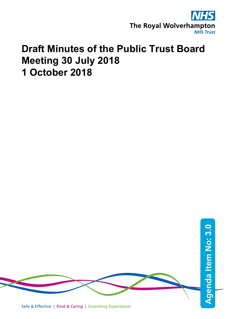

# **Draft Minutes of the Public Trust Board Meeting 30 July 2018 1 October 2018**



Safe & Effective | Kind & Caring | Exceeding Expectation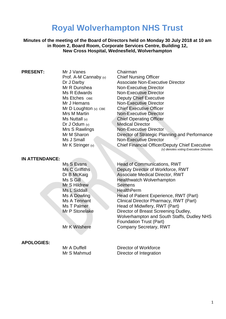## **Royal Wolverhampton NHS Trust**

**Minutes of the meeting of the Board of Directors held on Monday 30 July 2018 at 10 am in Room 2, Board Room, Corporate Services Centre, Building 12, New Cross Hospital, Wednesfield, Wolverhampton**

Prof. A-M Cannaby (v) Dr J Odum (v) Medical Director

**PRESENT:** Mr J Vanes Chairman<br>Prof. A-M Cannaby (v) Chief Nursing Officer Dr J Darby Associate Non-Executive Director Mr R Dunshea Non-Executive Director Ms R Edwards Non-Executive Director Ms Etches OBE **Deputy Chief Executive** Mr J Hemans Non-Executive Director Mr D Loughton (v) CBE Chief Executive Officer Mrs M Martin Non-Executive Director Ms Nuttall (v) Chief Operating Officer Mrs S Rawlings Non-Executive Director Mr M Sharon **Director of Strategic Planning and Performance** Ms J Small Non-Executive Director Mr K Stringer (v) Chief Financial Officer/Deputy Chief Executive *(v) denotes voting Executive Directors.*

#### **IN ATTENDANCE:**

Ms S Evans **Head of Communications, RWT** Ms C Griffiths Deputy Director of Workforce, RWT Dr B McKaig **Associate Medical Director, RWT** Ms S Gill Healthwatch Wolverhampton Mr S Hildrew Seimens Ms L Siddall HealthPerm Ms A Dowling **Head of Patient Experience, RWT (Part)** Ms A Tennant Clinical Director Pharmacy, RWT (Part)<br>Ms T Palmer Head of Midwifery, RWT (Part) Head of Midwifery, RWT (Part) Mr P Stonelake Director of Breast Screening Dudley, Wolverhampton and South Staffs, Dudley NHS Foundation Trust (Part) Mr K Wilshere **Company Secretary, RWT** 

#### **APOLOGIES:**

Mr A Duffell **Director of Workforce** Mr S Mahmud Director of Integration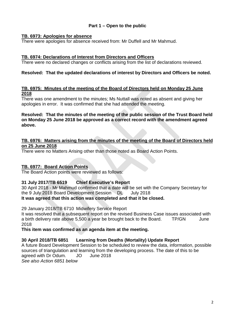### **Part 1 – Open to the public**

#### **TB. 6973: Apologies for absence**

There were apologies for absence received from: Mr Duffell and Mr Mahmud.

#### **TB. 6974: Declarations of Interest from Directors and Officers**

There were no declared changes or conflicts arising from the list of declarations reviewed.

#### **Resolved: That the updated declarations of interest by Directors and Officers be noted.**

#### **TB. 6975: Minutes of the meeting of the Board of Directors held on Monday 25 June 2018**

There was one amendment to the minutes; Ms Nuttall was noted as absent and giving her apologies in error. It was confirmed that she had attended the meeting.

#### **Resolved: That the minutes of the meeting of the public session of the Trust Board held on Monday 25 June 2018 be approved as a correct record with the amendment agreed above.**

#### **TB. 6976: Matters arising from the minutes of the meeting of the Board of Directors held on 25 June 2018**

There were no Matters Arising other than those noted as Board Action Points.

#### **TB. 6977: Board Action Points**

The Board Action points were reviewed as follows:

#### **31 July 2017/TB 6519 Chief Executive's Report**

30 April 2018 - Mr Mahmud confirmed that a date will be set with the Company Secretary for the 9 July 2018 Board Development Session DL July 2018

#### **It was agreed that this action was completed and that it be closed.**

29 January 2018/TB 6710 Midwifery Service Report

It was resolved that a subsequent report on the revised Business Case issues associated with a birth delivery rate above 5,500 a year be brought back to the Board. TP/GN June 2018

**This item was confirmed as an agenda item at the meeting.**

#### **30 April 2018/TB 6851 Learning from Deaths (Mortality) Update Report**

A future Board Development Session to be scheduled to review the data, information, possible sources of triangulation and learning from the developing process. The date of this to be agreed with Dr Odum. JO June 2018 *See also Action 6851 below*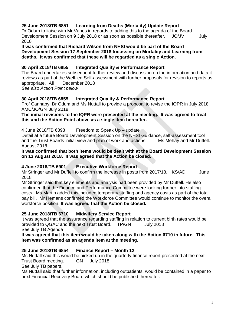#### **25 June 2018/TB 6851 Learning from Deaths (Mortality) Update Report**

Dr Odum to liaise with Mr Vanes in regards to adding this to the agenda of the Board Development Session on 9 July 2018 or as soon as possible thereafter. JO/JV July 2018

**It was confirmed that Richard Wilson from NHSI would be part of the Board Development Session 17 September 2018 focussing on Mortality and Learning from deaths. It was confirmed that these will be regarded as a single Action.**

#### **30 April 2018/TB 6855 Integrated Quality & Performance Report**

The Board undertakes subsequent further review and discussion on the information and data it reviews as part of the Well-led Self-assessment with further proposals for revision to reports as appropriate. All December 2018 *See also Action Point below*

#### **30 April 2018/TB 6855 Integrated Quality & Performance Report**

Prof Cannaby, Dr Odum and Ms Nuttall to provide a proposal to revise the IQPR in July 2018 AMC/JO/GN July 2018

#### **The initial revisions to the IQPR were presented at the meeting. It was agreed to treat this and the Action Point above as a single item hereafter.**

#### 4 June 2018/TB 6898 Freedom to Speak Up – update

Detail at a future Board Development Session on the NHSI Guidance, self-assessment tool and the Trust Boards initial view and plan of work and actions. Ms Mehay and Mr Duffell. August 2018

#### **It was confirmed that both items would be dealt with at the Board Development Session on 13 August 2018. It was agreed that the Action be closed.**

#### **4 June 2018/TB 6901 Executive Workforce Report**

Mr Stringer and Mr Duffell to confirm the increase in posts from 2017/18. KS/AD June 2018

Mr Stringer said that key elements and analysis had been provided by Mr Duffell. He also confirmed that the Finance and Performance Committee were looking further into staffing costs. Ms Martin added this included temporary staffing and agency costs as part of the total pay bill. Mr Hemans confirmed the Workforce Committee would continue to monitor the overall workforce position. **It was agreed that the Action be closed.**

#### **25 June 2018/TB 6710 Midwifery Service Report**

It was agreed that the assurance regarding staffing in relation to current birth rates would be provided to QGAC and the next Trust Board. TP/GN July 2018 See July TB Agenda

**It was agreed that this item would be taken along with the Action 6710 in future. This item was confirmed as an agenda item at the meeting.**

#### **25 June 2018/TB 6854 Finance Report – Month 12**

Ms Nuttall said this would be picked up in the quarterly finance report presented at the next Trust Board meeting. GN July 2018

See July TB papers.

Ms Nuttall said that further information, including outpatients, would be contained in a paper to next Financial Recovery Board which should be published thereafter.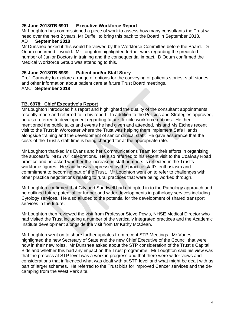#### **25 June 2018/TB 6901 Executive Workforce Report**

Mr Loughton has commissioned a piece of work to assess how many consultants the Trust will need over the next 2 years. Mr Duffell to bring this back to the Board in September 2018.

#### AD **September 2018**

Mr Dunshea asked if this would be viewed by the Workforce Committee before the Board. Dr Odum confirmed it would. Mr Loughton highlighted further work regarding the predicted number of Junior Doctors in training and the consequential impact. D Odum confirmed the Medical Workforce Group was attending to this.

#### **25 June 2018/TB 6939 Patient and/or Staff Story**

Prof. Cannaby to explore a range of options for the conveying of patients stories, staff stories and other information about patient care at future Trust Board meetings.

#### AMC **September 2018**

#### **TB. 6978: Chief Executive's Report**

Mr Loughton introduced his report and highlighted the quality of the consultant appointments recently made and referred to in his report. In addition to the Policies and Strategies approved, he also referred to development regarding future flexible workforce options. He then mentioned the public talks and events he had given and attended, his and Ms Etches recent visit to the Trust in Worcester where the Trust was helping them implement Safe Hands alongside training and the development of senior clinical staff. He gave assurance that the costs of the Trust's staff time is being charged for at the appropriate rate.

Mr Loughton thanked Ms Evans and her Communications Team for their efforts in organising the successful NHS 70<sup>th</sup> celebrations. He also referred to his recent visit to the Coalway Road practice and he asked whether the increase in staff numbers is reflected in the Trust's workforce figures. He said he was impressed by the practice staff's enthusiasm and commitment to becoming part of the Trust. Mr Loughton went on to refer to challenges with other practice negotiations relating to rural practices that were being worked through.

Mr Loughton confirmed that City and Sandwell had not opted in to the Pathology approach and he outlined future potential for further and wider developments in pathology services including Cytology services. He also alluded to the potential for the development of shared transport services in the future.

Mr Loughton then reviewed the visit from Professor Steve Powis, NHSE Medical Director who had visited the Trust including a number of the vertically integrated practices and the Academic Institute development alongside the visit from Dr Kathy McClean.

Mr Loughton went on to share further updates from recent STP Meetings. Mr Vanes highlighted the new Secretary of State and the new Chief Executive of the Council that were now in their new roles. Mr Dunshea asked about the STP consideration of the Trust's Capital Bids and whether this had any impact on the Trust programme. Mr Loughton said his view was that the process at STP level was a work in progress and that there were wider views and considerations that influenced what was dealt with at STP level and what might be dealt with as part of larger schemes. He referred to the Trust bids for improved Cancer services and the decamping from the West Park site.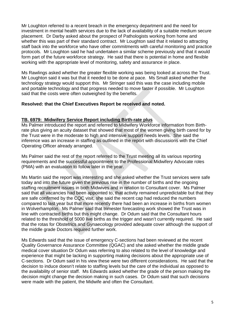Mr Loughton referred to a recent breach in the emergency department and the need for investment in mental health services due to the lack of availability of a suitable medium secure placement. Dr Darby asked about the prospect of Pathologists working from home and whether this was part of their standard contract. Mr Loughton said that it related to attracting staff back into the workforce who have other commitments with careful monitoring and practice protocols. Mr Loughton said he had undertaken a similar scheme previously and that it would form part of the future workforce strategy. He said that there is potential in home and flexible working with the appropriate level of monitoring, safety and assurance in place.

Ms Rawlings asked whether the greater flexible working was being looked at across the Trust. Mr Loughton said it was but that it needed to be done at pace. Ms Small asked whether the technology strategy would support this. Mr Stringer said this was the case including mobile and portable technology and that progress needed to move faster if possible. Mr Loughton said that the costs were often outweighed by the benefits.

#### **Resolved: that the Chief Executives Report be received and noted.**

#### **TB. 6979: Midwifery Service Report including Birth-rate plus**

Ms Palmer introduced the report and referred to Midwifery Workforce information from Birthrate plus giving an acuity dataset that showed that most of the women giving birth cared for by the Trust were in the moderate to high and intensive support needs levels. She said the inference was an increase in staffing as outlined in the report with discussions with the Chief Operating Officer already arranged.

Ms Palmer said the rest of the report referred to the Trust meeting all its various reporting requirements and the successful appointment to the Professional Midwifery Advocate roles (PMA) with an evaluation to follow later in the year.

Ms Martin said the report was interesting and she asked whether the Trust services were safe today and into the future given the previous rise in the number of births and the ongoing staffing recruitment issues in both Midwives and in relation to Consultant cover. Ms Palmer said that all vacancies had been appointed to, that activity remained unpredictable but that they are safe confirmed by the CQC visit, she said the recent cap had reduced the numbers compared to last year but that more recently there had been an increase in births from women in Wolverhampton. Ms Palmer said that trimester forecasting work showed the Trust was in line with contracted births but this might change. Dr Odum said that the Consultant hours related to the threshold of 5000 live births as the trigger and wasn't currently required. He said that the rotas for Obstetrics and Gynaecology provided adequate cover although the support of the middle grade Doctors required further work.

Ms Edwards said that the issue of emergency C-sections had been reviewed at the recent Quality Governance Assurance Committee (QGAC) and she asked whether the middle grade medical cover situation Dr Odum was referring to also related to the level of knowledge and experience that might be lacking in supporting making decisions about the appropriate use of C-sections. Dr Odum said in his view these were two different considerations. He said that the decision to induce doesn't relate to staffing levels but the care of the individual as opposed to the availability of senior staff. Ms Edwards asked whether the grade of the person making the decision might change the decision making in such cases. Dr Odum said that such decisions were made with the patient, the Midwife and often the Consultant.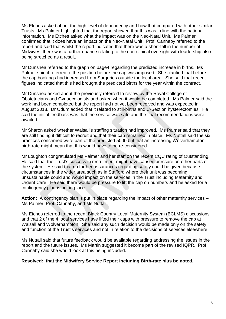Ms Etches asked about the high level of dependency and how that compared with other similar Trusts. Ms Palmer highlighted that the report showed that this was in line with the national information. Ms Etches asked what the impact was on the Neo-Natal Unit. Ms Palmer confirmed that it does have an impact on the Neo-Natal Unit. Prof. Cannaby referred to the report and said that whilst the report indicated that there was a short-fall in the number of Midwives, there was a further nuance relating to the non-clinical oversight with leadership also being stretched as a result.

Mr Dunshea referred to the graph on page4 regarding the predicted increase in births. Ms Palmer said it referred to the position before the cap was imposed. She clarified that before the cap bookings had increased from Surgeries outside the local area. She said that recent figures indicated that this had brought the predicted births for the year within the contract.

Mr Dunshea asked about the previously referred to review by the Royal College of Obstetricians and Gynaecologists and asked when it would be completed. Ms Palmer said the work had been completed but the report had not yet been received and was expected in August 2018. Dr Odum added that it related to still-births and C-Section hysterectomies. He said the initial feedback was that the service was safe and the final recommendations were awaited.

Mr Sharon asked whether Walsall's staffing situation had improved. Ms Palmer said that they are still finding it difficult to recruit and that their cap remained in place. Ms Nuttall said the six practices concerned were part of the predicted 5000 but that an increasing Wolverhampton birth-rate might mean that this would have to be re-considered.

Mr Loughton congratulated Ms Palmer and her staff on the recent CQC rating of Outstanding. He said that the Trust's success in recruitment might have caused pressure on other parts of the system. He said that no further assurances regarding safety could be given because circumstances in the wider area such as in Stafford where their unit was becoming unsustainable could and would impact on the services in the Trust including Maternity and Urgent Care. He said there would be pressure to lift the cap on numbers and he asked for a contingency plan is put in place.

**Action:** A contingency plan is put in place regarding the impact of other maternity services – Ms Palmer, Prof. Cannaby, and Ms Nuttall.

Ms Etches referred to the recent Black Country Local Maternity System (BCLMS) discussions and that 2 of the 4 local services have lifted their caps with pressure to remove the cap at Walsall and Wolverhampton. She said any such decision would be made only on the safety and function of the Trust's services and not in relation to the decisions of services elsewhere.

Ms Nuttall said that future feedback would be available regarding addressing the issues in the report and the future issues. Ms Martin suggested it become part of the revised IQPR. Prof. Cannaby said she would look at this being included.

#### **Resolved: that the Midwifery Service Report including Birth-rate plus be noted.**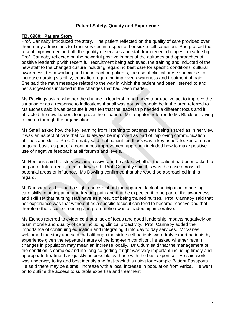#### **Patient Safety, Quality and Experience**

#### **TB. 6980: Patient Story**

Prof. Cannaby introduced the story. The patient reflected on the quality of care provided over their many admissions to Trust services in respect of her sickle cell condition. She praised the recent improvement in both the quality of services and staff from recent changes in leadership. Prof. Cannaby reflected on the powerful positive impact of the attitudes and approaches of positive leadership with recent full recruitment being achieved, the training and inducted of the new staff to the changed culture including regarding best care for specific conditions, cultural awareness, team working and the impact on patients, the use of clinical nurse specialists to increase nursing visibility, education regarding improved awareness and treatment of pain. She said the main message related to the way in which the patient had been listened to and her suggestions included in the changes that had been made.

Ms Rawlings asked whether the change in leadership had been a pro-active act to improve the situation or as a response to indications that all was not as it should be in the area referred to. Ms Etches said it was because it was felt that the leadership needed a different focus and it attracted the new leaders to improve the situation. Mr Loughton referred to Ms Black as having come up through the organisation.

Ms Small asked how the key learning from listening to patients was being shared as in her view it was an aspect of care that could always be improved as part of improving communication abilities and skills. Prof. Cannaby said that patient feedback was a key aspect looked at on an ongoing basis as part of a continuous improvement approach included how to make positive use of negative feedback at all forum's and levels.

Mr Hemans said the story was impressive and he asked whether the patient had been asked to be part of future recruitment of key staff. Prof. Cannaby said this was the case across all potential areas of influence. Ms Dowling confirmed that she would be approached in this regard.

Mr Dunshea said he had a slight concern about the apparent lack of anticipation in nursing care skills in anticipating and treating pain and that he expected it to be part of the awareness and skill set that nursing staff have as a result of being trained nurses. Prof. Cannaby said that her experience was that without it as a specific focus it can tend to become reactive and that therefore the focus, screening and pre-emption was a leadership imperative.

Ms Etches referred to evidence that a lack of focus and good leadership impacts negatively on team morale and quality of care including clinical proactivity. Prof. Cannaby added the importance of continuing education and integrating it into day to day services. Mr Vanes welcomed the story and said that although the sickle cell patients were truly expert patients by experience given the repeated nature of the long-term condition, he asked whether recent changes in population may mean an increase locally. Dr Odum said that the management of the condition is complex and life-long so getting it right was very important including timely and appropriate treatment as quickly as possible by those with the best expertise. He said work was underway to try and best identify and fast-track this using for example Patient Passports. He said there may be a small increase with a local increase in population from Africa. He went on to outline the access to suitable expertise and treatment.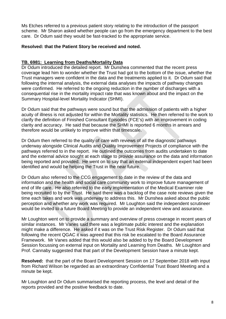Ms Etches referred to a previous patient story relating to the introduction of the passport scheme. Mr Sharon asked whether people can go from the emergency department to the best care. Dr Odum said they would be fast-tracked to the appropriate service.

#### **Resolved: that the Patient Story be received and noted.**

#### **TB. 6981: Learning from Deaths/Mortality Data**

Dr Odum introduced the detailed report. Mr Dunshea commented that the recent press coverage lead him to wonder whether the Trust had got to the bottom of the issue, whether the Trust managers were confident in the data and the treatments applied to it. Dr Odum said that following the internal analysis, the external data analyses the impacts of pathway changes were confirmed. He referred to the ongoing reduction in the number of discharges with a consequential rise in the mortality impact rate that was known about and the impact on the Summary Hospital-level Mortality Indicator (SHMI).

Dr Odum said that the pathways were sound but that the admission of patients with a higher acuity of illness is not adjusted for within the Mortality statistics. He then referred to the work to clarify the definition of Finished Consultant Episodes (FCE's) with an improvement in coding clarity and accuracy. He said that because the SHMI is reported 6 months in arrears and therefore would be unlikely to improve within that timescale.

Dr Odum then referred to the quality of care with reviews of all the diagnostic pathways underway alongside Clinical Audits and Quality Improvement Projects of compliance with the pathways referred to in the report. He outlined the outcomes from audits undertaken to date and the external advice sought at each stage to provide assurance on the data and information being reported and provided. He went on to say that an external independent expert had been identified and would be helping the Trust in the near future.

Dr Odum also referred to the CCG engagement to date in the review of the data and information and the health and social care community work to improve future management of end of life care. He also referred to the early implementation of the Medical Examiner role being recruited to by the Trust. He said there was a backlog of the case note reviews given the time each takes and work was underway to address this. Mr Dunshea asked about the public perception and whether any work was required. Mr Loughton said the independent scrutineer would be invited to a future Board Meeting to provide an independent view and assurance.

Mr Loughton went on to provide a summary and overview of press coverage in recent years of similar instances. Mr Vanes said there was a legitimate public interest and the explanation might make a difference. He asked if it was on the Trust Risk Register. Dr Odum said that following the recent QGAC it was agreed that this risk be escalated to the Board Assurance Framework. Mr Vanes added that this would also be added to by the Board Development Session focussing on external input on Mortality and Learning from Deaths. Mr Loughton and Prof. Cannaby suggested that that part of the Development Session have a minute kept.

**Resolved:** that the part of the Board Development Session on 17 September 2018 with input from Richard Wilson be regarded as an extraordinary Confidential Trust Board Meeting and a minute be kept.

Mr Loughton and Dr Odum summarised the reporting process, the level and detail of the reports provided and the positive feedback to date.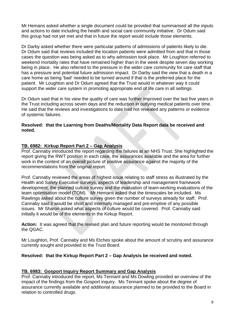Mr Hemans asked whether a single document could be provided that summarised all the inputs and actions to date including the health and social care community initiative. Dr Odum said this group had not yet met and that in future the report would include those elements.

Dr Darby asked whether there were particular patterns of admissions of patients likely to die. Dr Odum said that reviews included the location patients were admitted from and that in those cases the question was being asked as to why admission took place. Mr Loughton referred to weekend mortality rates that have remained higher than in the week despite seven day working being in place. He also referred to the pressure in the wider care community for care staff that has a pressure and potential future admission impact. Dr Darby said the view that a death in a care home as being 'bad' needed to be turned around if that is the preferred place for the patient. Mr Loughton and Dr Odum agreed that the Trust would in whatever way it could support the wider care system in promoting appropriate end of life care in all settings.

Dr Odum said that in his view the quality of care was further improved over the last five years in the Trust including across seven days and the reduction in outlying medical patients over time. He said that the reviews and investigations to date had not revealed any patterns or evidence of systemic failures.

#### **Resolved: that the Learning from Deaths/Mortality Data Report data be received and noted.**

#### **TB. 6982: Kirkup Report Part 2 – Gap Analysis**

Prof. Cannaby introduced the report regarding the failures at an NHS Trust. She highlighted the report giving the RWT position in each case, the assurances available and the area for further work in the context of an overall picture of positive assurance against the majority of the recommendations from the original report.

Prof. Cannaby reviewed the areas of highest issue relating to staff stress as illustrated by the Health and Safety Executive surveys, aspects of leadership and management framework development, the planned culture survey and the evaluation of team-working evaluations of the team optimisation model (TOM). Mr Hemans asked that the timescales be included. Ms Rawlings asked about the culture survey given the number of surveys already for staff. Prof. Cannaby said it would be short and internally managed and pre-emptive of any possible issues. Mr Sharon asked what aspects of culture would be covered. Prof. Cannaby said initially it would be of the elements in the Kirkup Report.

**Action:** It was agreed that the revised plan and future reporting would be monitored through the QGAC.

Mr Loughton, Prof. Cannaby and Ms Etches spoke about the amount of scrutiny and assurance currently sought and provided to the Trust Board.

#### **Resolved: that the Kirkup Report Part 2 – Gap Analysis be received and noted.**

#### **TB. 6983: Gosport Inquiry Report Summary and Gap Analysis**

Prof. Cannaby introduced the report, Ms Tennant and Ms Dowling provided an overview of the impact of the findings from the Gosport inquiry. Ms Tennant spoke about the degree of assurance currently available and additional assurance planned to be provided to the Board in relation to controlled drugs.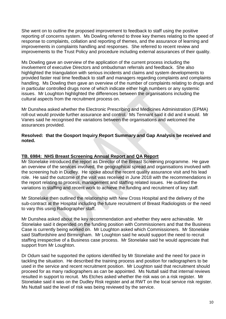She went on to outline the proposed improvement to feedback to staff using the positive reporting of concerns system. Ms Dowling referred to three key themes relating to the speed of response to complaints, collation and reporting of themes, and the assurance of learning and improvements in complaints handling and responses. She referred to recent review and improvements to the Trust Policy and procedure including external assurances of their quality.

Ms Dowling gave an overview of the application of the current process including the involvement of executive Directors and ombudsman referrals and feedback. She also highlighted the triangulation with serious incidents and claims and system developments to provided faster real time feedback to staff and managers regarding complaints and complaints handling. Ms Dowling then gave an overview of the number of complaints relating to drugs and in particular controlled drugs none of which indicate either high numbers or any systemic issues. Mr Loughton highlighted the differences between the organisations including the cultural aspects from the recruitment process on.

Mr Dunshea asked whether the Electronic Prescribing and Medicines Administration (EPMA) roll-out would provide further assurance and control. Ms Tennant said it did and it would. Mr Vanes said he recognised the variations between the organisations and welcomed the assurances provided.

#### **Resolved: that the Gosport Inquiry Report Summary and Gap Analysis be received and noted.**

#### **TB. 6984: NHS Breast Screening Annual Report and QA Report**

Mr Stonelake introduced the report as Director of the Breast Screening programme. He gave an overview of the services involved, the geographical spread and organisations involved with the screening hub in Dudley. He spoke about the recent quality assurance visit and his lead role. He said the outcome of the visit was received in June 2018 with the recommendations in the report relating to process, management and staffing related issues. He outlined the variations in staffing and recent work to achieve the funding and recruitment of key staff.

Mr Stonelake then outlined the relationship with New Cross Hospital and the delivery of the sub-contract at the Hospital including the future recruitment of Breast Radiologists or the need to vary this using Radiographer staff.

Mr Dunshea asked about the key recommendation and whether they were achievable. Mr Stonelake said it depended on the funding position with Commissioners and that the Business Case is currently being worked on. Mr Loughton asked which Commissioners. Mr Stonelake said Staffordshire and Birmingham. Mr Loughton said he would support the need to recruit staffing irrespective of a Business case process. Mr Stonelake said he would appreciate that support from Mr Loughton.

Dr Odum said he supported the options identified by Mr Stonelake and the need for pace in tackling the situation. He described the training process and position for radiographers to be used in the service and recent recruitment position. Mr Loughton said that recruitment should proceed for as many radiographers as can be appointed. Ms Nuttall said that internal reviews resulted in support to recruit. Ms Etches asked whether the risk was on a risk register. Mr Stonelake said it was on the Dudley Risk register and at RWT on the local service risk register. Ms Nuttall said the level of risk was being reviewed by the service.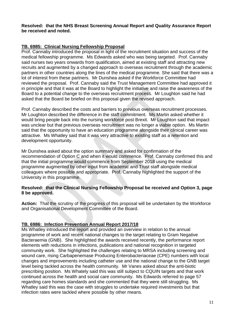#### **Resolved: that the NHS Breast Screening Annual Report and Quality Assurance Report be received and noted.**

#### **TB. 6985: Clinical Nursing Fellowship Proposal**

Prof. Cannaby introduced the proposal in light of the recruitment situation and success of the medical fellowship programme. Ms Edwards asked who was being targeted. Prof. Cannaby said nurses two years onwards from qualification, aimed at existing staff and attracting new recruits and augmented by a changed approach to overseas recruitment through the academic partners in other countries along the lines of the medical programme. She said that there was a lot of interest from these partners. Mr Dunshea asked if the Workforce Committee had reviewed the proposal. Prof. Cannaby said the Trust Management Committee had approved it in principle and that it was at the Board to highlight the initiative and raise the awareness of the Board to a potential change to the overseas recruitment process. Mr Loughton said he had asked that the Board be briefed on this proposal given the revised approach.

Prof. Cannaby described the costs and barriers to previous overseas recruitment processes. Mr Loughton described the difference in the staff commitment. Ms Martin asked whether it would bring people back into the nursing workforce post Brexit. Mr Loughton said that impact was unclear but that previous overseas recruitment was no longer a viable option. Ms Martin said that the opportunity to have an education programme alongside their clinical career was attractive. Ms Whatley said that it was very attractive to existing staff as a retention and development opportunity.

Mr Dunshea asked about the option summary and asked for confirmation of the recommendation of Option C and when it would commence. Prof. Cannaby confirmed this and that the initial programme would commence from September 2018 using the medical programme augmented by other input from academic and Trust staff alongside medical colleagues where possible and appropriate. Prof. Cannaby highlighted the support of the University in this programme.

#### **Resolved: that the Clinical Nursing Fellowship Proposal be received and Option 3, page 8 be approved.**

**Action:** That the scrutiny of the progress of this proposal will be undertaken by the Workforce and Organisational Development Committee of the Board.

### **TB. 6986: Infection Prevention Annual Report 2017/18**

Ms Whatley introduced the report and provided an overview in relation to the annual programme of work and recent national changes to the target relating to Gram Negative Bacteraemia (GNB). She highlighted the awards received recently, the performance report elements with reductions in infections, publications and national recognition in targeted community work. She highlighted the challenges relating to MRSA including screening and wound care, rising Carbapenemase Producing Enterobacteriaceae (CPE) numbers with local changes and improvements including catheter use and the national change to the GNB target level being tackled across the health community. Mr Vanes asked about the anti-biotic prescribing position. Ms Whately said this was still subject to CQUIN targets and that work continued across the health and social care community. Ms Edwards referred to page 57 regarding care homes standards and she commented that they were still struggling. Ms Whatley said this was the case with struggles to undertake required investments but that infection rates were tackled where possible by other means.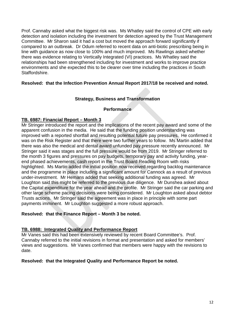Prof. Cannaby asked what the biggest risk was. Ms Whatley said the control of CPE with early detection and isolation including the investment for detection agreed by the Trust Management Committee. Mr Sharon said it had a cost but moved the approach forward significantly if compared to an outbreak. Dr Odum referred to recent data on anti-biotic prescribing being in line with guidance as now close to 100% and much improved. Ms Rawlings asked whether there was evidence relating to Vertically Integrated (VI) practices. Ms Whatley said the relationships had been strengthened including for investment and works to improve practice environments and she expected this to be clearer over time including the practices in South Staffordshire.

#### **Resolved: that the Infection Prevention Annual Report 2017/18 be received and noted.**

#### **Strategy, Business and Transformation**

#### **Performance**

#### **TB. 6987: Financial Report – Month 3**

Mr Stringer introduced the report and the implications of the recent pay award and some of the apparent confusion in the media. He said that the funding position understanding was improved with a reported shortfall and resulting potential future pay pressures. He confirmed it was on the Risk Register and that there were two further years to follow. Ms Martin added that there was also the medical and dental award unfunded pay pressure recently announced. Mr Stringer said it was stages and the full pressure would be from 2019. Mr Stringer referred to the month 3 figures and pressures on pay budgets, temporary pay and activity funding, yearend phased achievements, cash report in the Trust Board Reading Room with risks highlighted. Ms Martin added the initial position now received regarding backlog maintenance and the programme in place including a significant amount for Cannock as a result of previous under-investment. Mr Hemans added that seeking additional funding was agreed. Mr Loughton said this might be referred to the previous due diligence. Mr Dunshea asked about the Capital expenditure for the year ahead and the profile. Mr Stringer said the car parking and other large scheme pacing decisions were being considered. Mr Loughton asked about debtor Trusts actions. Mr Stringer said the agreement was in place in principle with some part payments imminent. Mr Loughton suggested a more robust approach.

#### **Resolved: that the Finance Report – Month 3 be noted.**

#### **TB. 6988: Integrated Quality and Performance Report**

Mr Vanes said this had been extensively reviewed by recent Board Committee's. Prof. Cannaby referred to the initial revisions in format and presentation and asked for members' views and suggestions. Mr Vanes confirmed that members were happy with the revisions to date.

#### **Resolved: that the Integrated Quality and Performance Report be noted.**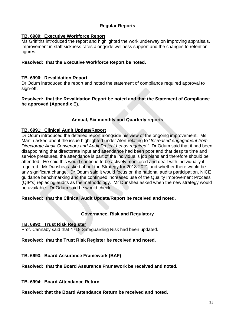#### **Regular Reports**

#### **TB. 6989: Executive Workforce Report**

Ms Griffiths introduced the report and highlighted the work underway on improving appraisals, improvement in staff sickness rates alongside wellness support and the changes to retention figures.

#### **Resolved: that the Executive Workforce Report be noted.**

#### **TB. 6990: Revalidation Report**

Dr Odum introduced the report and noted the statement of compliance required approval to sign-off.

#### **Resolved: that the Revalidation Report be noted and that the Statement of Compliance be approved (Appendix E).**

#### **Annual, Six monthly and Quarterly reports**

#### **TB. 6991: Clinical Audit Update/Report**

Dr Odum introduced the detailed report alongside his view of the ongoing improvement. Ms Martin asked about the issue highlighted under Alert relating to "*Increased engagement from Directorate Audit Convenors and Audit Project Leads required*." Dr Odum said that it had been disappointing that directorate input and attendance had been poor and that despite time and service pressures, the attendance is part of the individual's job plans and therefore should be attended. He said this would continue to be actively monitored and dealt with individually if required. Mr Dunshea asked about the Strategy for 2018-2021 and whether there would be any significant change. Dr Odum said it would focus on the national audits participation, NICE guidance benchmarking and the continued increased use of the Quality Improvement Process (QIP's) replacing audits as the methodology. Mr Dunshea asked when the new strategy would be available. Dr Odum said he would check.

#### **Resolved: that the Clinical Audit Update/Report be received and noted.**

#### **Governance, Risk and Regulatory**

#### **TB. 6992: Trust Risk Register**

Prof. Cannaby said that 4718 Safeguarding Risk had been updated.

#### **Resolved: that the Trust Risk Register be received and noted.**

#### **TB. 6993: Board Assurance Framework (BAF)**

**Resolved: that the Board Assurance Framework be received and noted.**

**TB. 6994: Board Attendance Return**

**Resolved: that the Board Attendance Return be received and noted.**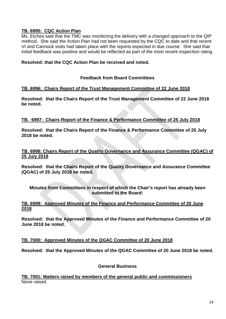#### **TB. 6995: CQC Action Plan**

Ms. Etches said that the TMC was monitoring the delivery with a changed approach to the QIP method. She said the Action Plan had not been requested by the CQC to date and that recent VI and Cannock visits had taken place with the reports expected in due course. She said that initial feedback was positive and would be reflected as part of the most recent inspection rating.

#### **Resolved: that the CQC Action Plan be received and noted.**

#### **Feedback from Board Committees**

#### **TB. 6996: Chairs Report of the Trust Management Committee of 22 June 2018**

**Resolved: that the Chairs Report of the Trust Management Committee of 22 June 2018 be noted.**

#### **TB. 6997: Chairs Report of the Finance & Performance Committee of 25 July 2018**

**Resolved: that the Chairs Report of the Finance & Performance Committee of 25 July 2018 be noted.**

#### **TB. 6998: Chairs Report of the Quality Governance and Assurance Committee (QGAC) of 25 July 2018**

**Resolved: that the Chairs Report of the Quality Governance and Assurance Committee (QGAC) of 25 July 2018 be noted.** 

**Minutes from Committees in respect of which the Chair's report has already been submitted to the Board:**

#### **TB. 6999: Approved Minutes of the Finance and Performance Committee of 20 June 2018**

**Resolved: that the Approved Minutes of the Finance and Performance Committee of 20 June 2018 be noted.** 

#### **TB. 7000: Approved Minutes of the QGAC Committee of 20 June 2018**

**Resolved: that the Approved Minutes of the QGAC Committee of 20 June 2018 be noted.**

#### **General Business**

**TB. 7001: Matters raised by members of the general public and commissioners** None raised.